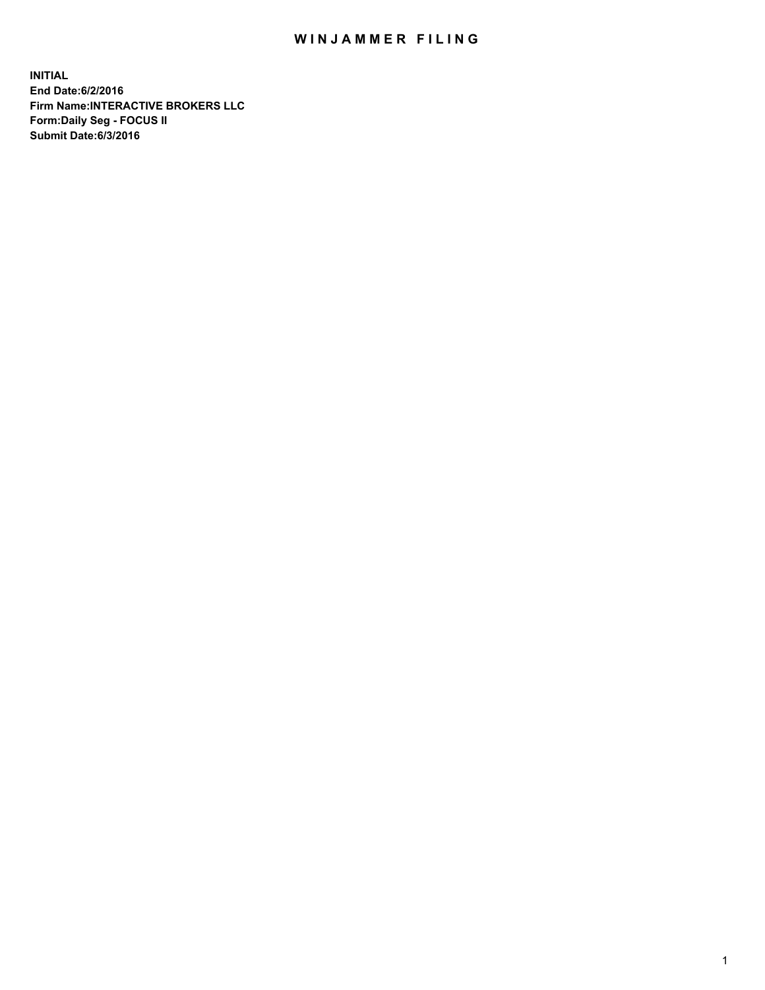## WIN JAMMER FILING

**INITIAL End Date:6/2/2016 Firm Name:INTERACTIVE BROKERS LLC Form:Daily Seg - FOCUS II Submit Date:6/3/2016**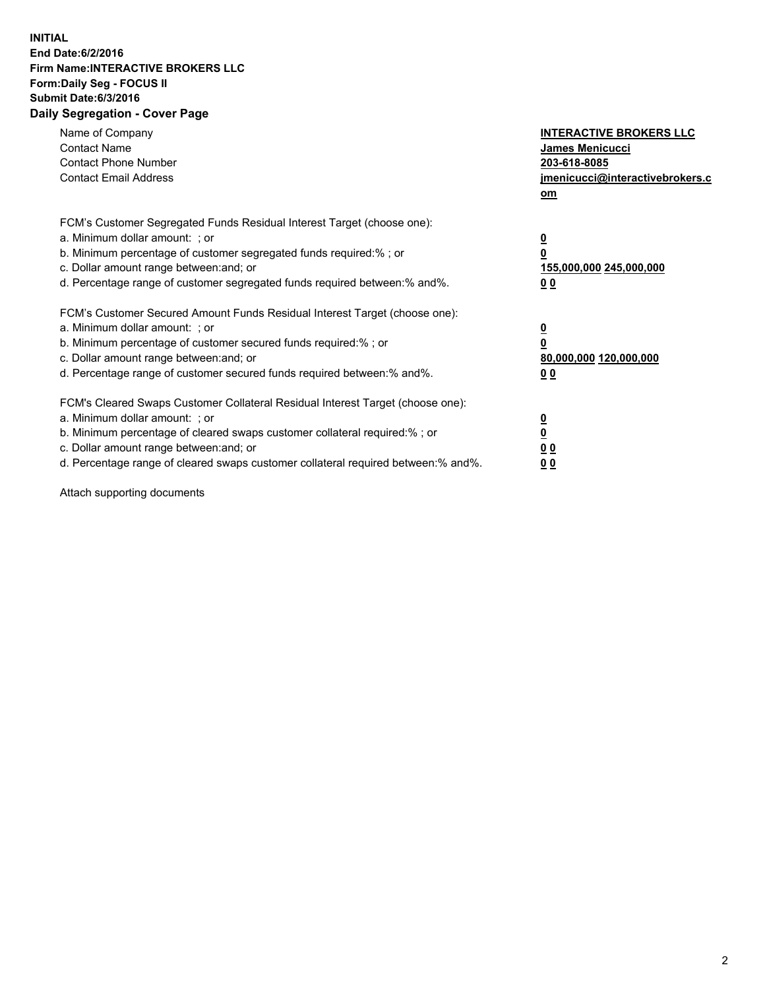## **INITIAL End Date:6/2/2016 Firm Name:INTERACTIVE BROKERS LLC Form:Daily Seg - FOCUS II Submit Date:6/3/2016 Daily Segregation - Cover Page**

| Name of Company<br><b>Contact Name</b><br><b>Contact Phone Number</b><br><b>Contact Email Address</b>                                                                                                                                                                                                                          | <b>INTERACTIVE BROKERS LLC</b><br>James Menicucci<br>203-618-8085<br>jmenicucci@interactivebrokers.c<br>om |
|--------------------------------------------------------------------------------------------------------------------------------------------------------------------------------------------------------------------------------------------------------------------------------------------------------------------------------|------------------------------------------------------------------------------------------------------------|
| FCM's Customer Segregated Funds Residual Interest Target (choose one):<br>a. Minimum dollar amount: ; or<br>b. Minimum percentage of customer segregated funds required:%; or<br>c. Dollar amount range between: and; or<br>d. Percentage range of customer segregated funds required between:% and%.                          | $\overline{\mathbf{0}}$<br>$\overline{\mathbf{0}}$<br>155,000,000 245,000,000<br>00                        |
| FCM's Customer Secured Amount Funds Residual Interest Target (choose one):<br>a. Minimum dollar amount: ; or<br>b. Minimum percentage of customer secured funds required:%; or<br>c. Dollar amount range between: and; or<br>d. Percentage range of customer secured funds required between: % and %.                          | $\overline{\mathbf{0}}$<br>0<br>80,000,000 120,000,000<br>00                                               |
| FCM's Cleared Swaps Customer Collateral Residual Interest Target (choose one):<br>a. Minimum dollar amount: ; or<br>b. Minimum percentage of cleared swaps customer collateral required:% ; or<br>c. Dollar amount range between: and; or<br>d. Percentage range of cleared swaps customer collateral required between:% and%. | $\overline{\mathbf{0}}$<br>$\underline{\mathbf{0}}$<br>0 <sub>0</sub><br>0 <sub>0</sub>                    |

Attach supporting documents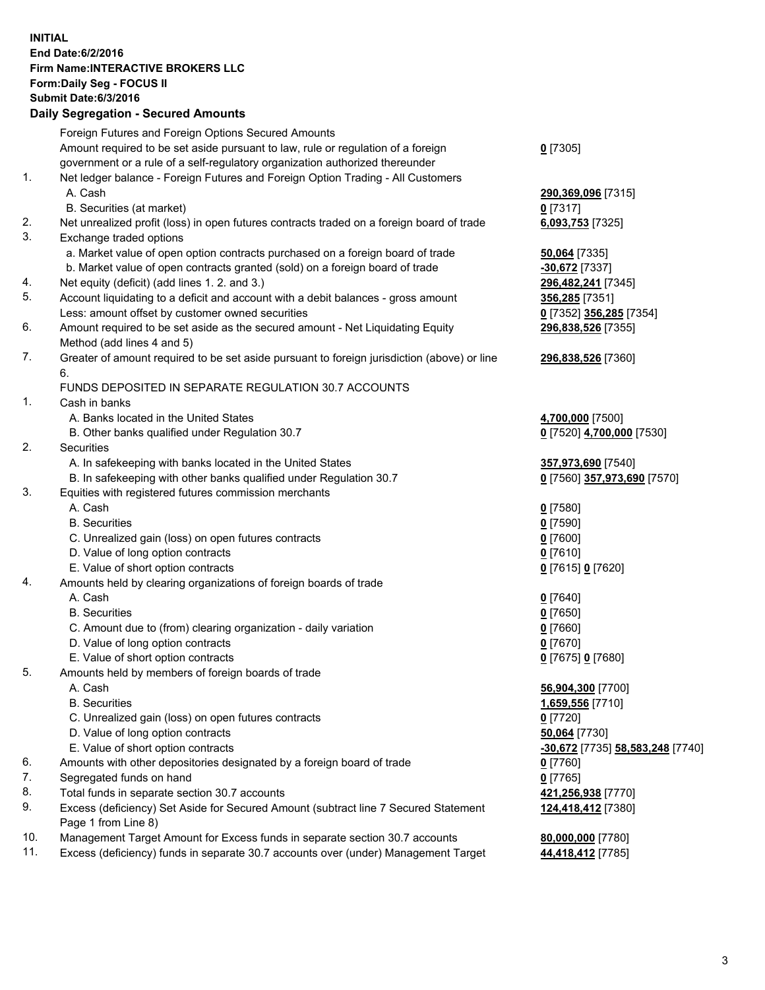## **INITIAL End Date:6/2/2016 Firm Name:INTERACTIVE BROKERS LLC Form:Daily Seg - FOCUS II Submit Date:6/3/2016 Daily Segregation - Secured Amounts**

|     | Foreign Futures and Foreign Options Secured Amounts                                         |                                  |
|-----|---------------------------------------------------------------------------------------------|----------------------------------|
|     | Amount required to be set aside pursuant to law, rule or regulation of a foreign            | $0$ [7305]                       |
|     | government or a rule of a self-regulatory organization authorized thereunder                |                                  |
| 1.  | Net ledger balance - Foreign Futures and Foreign Option Trading - All Customers             |                                  |
|     | A. Cash                                                                                     | 290,369,096 [7315]               |
|     | B. Securities (at market)                                                                   | $0$ [7317]                       |
| 2.  | Net unrealized profit (loss) in open futures contracts traded on a foreign board of trade   | 6,093,753 [7325]                 |
| 3.  | Exchange traded options                                                                     |                                  |
|     | a. Market value of open option contracts purchased on a foreign board of trade              | 50,064 [7335]                    |
|     | b. Market value of open contracts granted (sold) on a foreign board of trade                | -30,672 [7337]                   |
| 4.  | Net equity (deficit) (add lines 1.2. and 3.)                                                | 296,482,241 [7345]               |
| 5.  | Account liquidating to a deficit and account with a debit balances - gross amount           | 356,285 [7351]                   |
|     | Less: amount offset by customer owned securities                                            | 0 [7352] 356,285 [7354]          |
| 6.  | Amount required to be set aside as the secured amount - Net Liquidating Equity              | 296,838,526 [7355]               |
|     | Method (add lines 4 and 5)                                                                  |                                  |
| 7.  | Greater of amount required to be set aside pursuant to foreign jurisdiction (above) or line | 296,838,526 [7360]               |
|     | 6.                                                                                          |                                  |
|     | FUNDS DEPOSITED IN SEPARATE REGULATION 30.7 ACCOUNTS                                        |                                  |
| 1.  | Cash in banks                                                                               |                                  |
|     | A. Banks located in the United States                                                       | 4,700,000 [7500]                 |
|     | B. Other banks qualified under Regulation 30.7                                              | 0 [7520] 4,700,000 [7530]        |
| 2.  | Securities                                                                                  |                                  |
|     | A. In safekeeping with banks located in the United States                                   | 357,973,690 [7540]               |
|     | B. In safekeeping with other banks qualified under Regulation 30.7                          | 0 [7560] 357,973,690 [7570]      |
| 3.  | Equities with registered futures commission merchants                                       |                                  |
|     | A. Cash                                                                                     | $0$ [7580]                       |
|     | <b>B.</b> Securities                                                                        | $0$ [7590]                       |
|     | C. Unrealized gain (loss) on open futures contracts                                         | $0$ [7600]                       |
|     | D. Value of long option contracts                                                           | $0$ [7610]                       |
|     | E. Value of short option contracts                                                          | 0 [7615] 0 [7620]                |
| 4.  | Amounts held by clearing organizations of foreign boards of trade                           |                                  |
|     | A. Cash                                                                                     | $0$ [7640]                       |
|     | <b>B.</b> Securities                                                                        | $0$ [7650]                       |
|     | C. Amount due to (from) clearing organization - daily variation                             | $0$ [7660]                       |
|     | D. Value of long option contracts                                                           | $0$ [7670]                       |
|     | E. Value of short option contracts                                                          | 0 [7675] 0 [7680]                |
| 5.  | Amounts held by members of foreign boards of trade                                          |                                  |
|     | A. Cash                                                                                     | 56,904,300 [7700]                |
|     | <b>B.</b> Securities                                                                        | 1,659,556 [7710]                 |
|     | C. Unrealized gain (loss) on open futures contracts                                         | $0$ [7720]                       |
|     | D. Value of long option contracts                                                           | 50,064 [7730]                    |
|     | E. Value of short option contracts                                                          | -30,672 [7735] 58,583,248 [7740] |
| 6.  | Amounts with other depositories designated by a foreign board of trade                      | $0$ [7760]                       |
| 7.  | Segregated funds on hand                                                                    | $0$ [7765]                       |
| 8.  | Total funds in separate section 30.7 accounts                                               | 421,256,938 [7770]               |
| 9.  | Excess (deficiency) Set Aside for Secured Amount (subtract line 7 Secured Statement         | 124,418,412 [7380]               |
|     | Page 1 from Line 8)                                                                         |                                  |
| 10. | Management Target Amount for Excess funds in separate section 30.7 accounts                 | 80,000,000 [7780]                |
| 11. | Excess (deficiency) funds in separate 30.7 accounts over (under) Management Target          | 44,418,412 [7785]                |
|     |                                                                                             |                                  |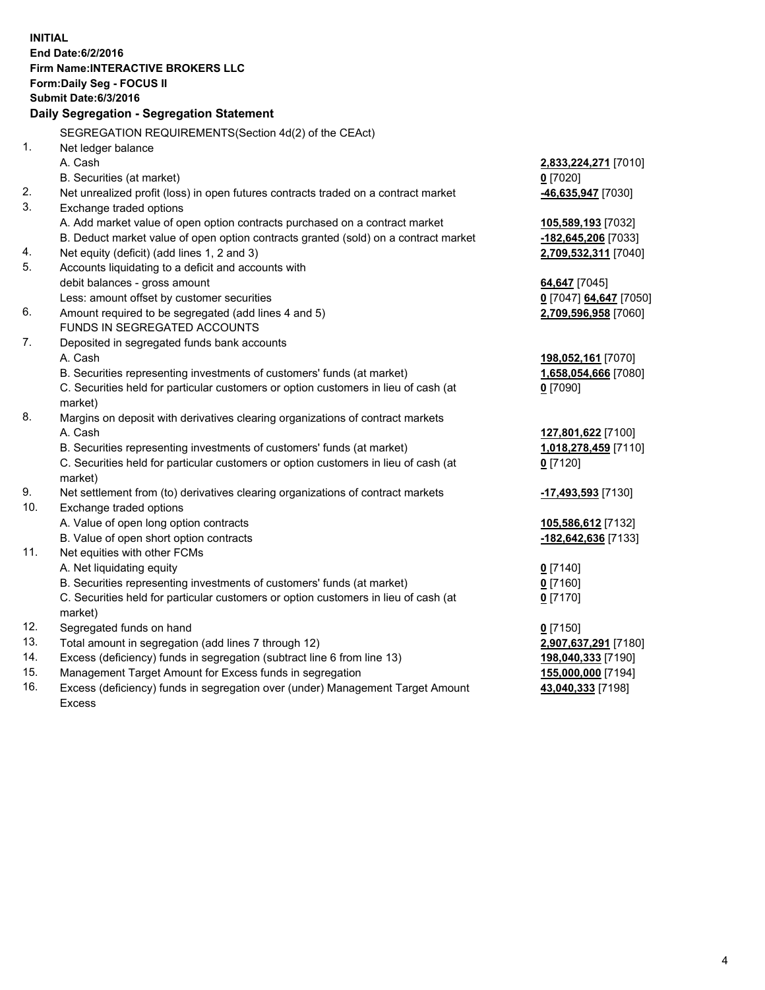**INITIAL End Date:6/2/2016 Firm Name:INTERACTIVE BROKERS LLC Form:Daily Seg - FOCUS II Submit Date:6/3/2016 Daily Segregation - Segregation Statement** SEGREGATION REQUIREMENTS(Section 4d(2) of the CEAct) 1. Net ledger balance A. Cash **2,833,224,271** [7010] B. Securities (at market) **0** [7020] 2. Net unrealized profit (loss) in open futures contracts traded on a contract market **-46,635,947** [7030] 3. Exchange traded options A. Add market value of open option contracts purchased on a contract market **105,589,193** [7032] B. Deduct market value of open option contracts granted (sold) on a contract market **-182,645,206** [7033] 4. Net equity (deficit) (add lines 1, 2 and 3) **2,709,532,311** [7040] 5. Accounts liquidating to a deficit and accounts with debit balances - gross amount **64,647** [7045] Less: amount offset by customer securities **0** [7047] **64,647** [7050] 6. Amount required to be segregated (add lines 4 and 5) **2,709,596,958** [7060] FUNDS IN SEGREGATED ACCOUNTS 7. Deposited in segregated funds bank accounts A. Cash **198,052,161** [7070] B. Securities representing investments of customers' funds (at market) **1,658,054,666** [7080] C. Securities held for particular customers or option customers in lieu of cash (at market) **0** [7090] 8. Margins on deposit with derivatives clearing organizations of contract markets A. Cash **127,801,622** [7100] B. Securities representing investments of customers' funds (at market) **1,018,278,459** [7110] C. Securities held for particular customers or option customers in lieu of cash (at market) **0** [7120] 9. Net settlement from (to) derivatives clearing organizations of contract markets **-17,493,593** [7130] 10. Exchange traded options A. Value of open long option contracts **105,586,612** [7132] B. Value of open short option contracts **-182,642,636** [7133] 11. Net equities with other FCMs A. Net liquidating equity **0** [7140] B. Securities representing investments of customers' funds (at market) **0** [7160] C. Securities held for particular customers or option customers in lieu of cash (at market) **0** [7170] 12. Segregated funds on hand **0** [7150] 13. Total amount in segregation (add lines 7 through 12) **2,907,637,291** [7180] 14. Excess (deficiency) funds in segregation (subtract line 6 from line 13) **198,040,333** [7190] 15. Management Target Amount for Excess funds in segregation **155,000,000** [7194] **43,040,333** [7198]

16. Excess (deficiency) funds in segregation over (under) Management Target Amount Excess